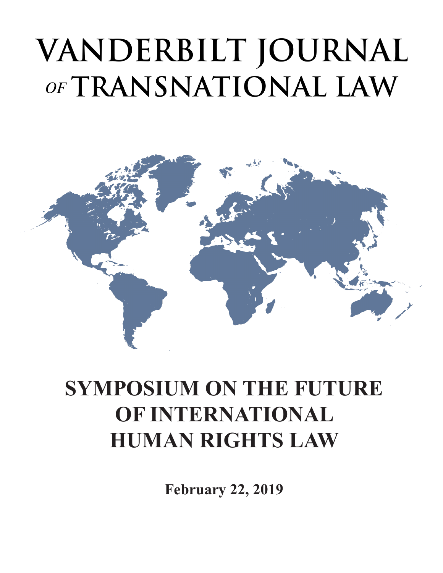# VANDERBILT JOURNAL OF TRANSNATIONAL LAW



### **SYMPOSIUM ON THE FUTURE OF INTERNATIONAL HUMAN RIGHTS LAW**

**February 22, 2019**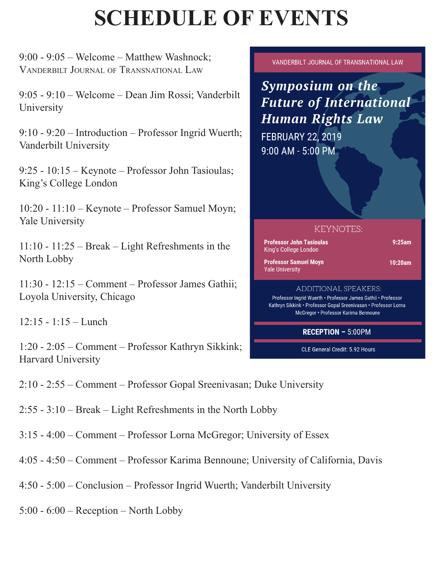## **SCHEDULE OF EVENTS**

9:00 - 9:05 – Welcome – Matthew Washnock; Vanderbilt Journal of Transnational Law

9:05 - 9:10 – Welcome – Dean Jim Rossi; Vanderbilt **University** 

9:10 - 9:20 – Introduction – Professor Ingrid Wuerth; Vanderbilt University

9:25 - 10:15 – Keynote – Professor John Tasioulas; King's College London

10:20 - 11:10 – Keynote – Professor Samuel Moyn; Yale University

11:10 - 11:25 – Break – Light Refreshments in the North Lobby

11:30 - 12:15 – Comment – Professor James Gathii; Loyola University, Chicago

12:15 - 1:15 – Lunch

1:20 - 2:05 – Comment – Professor Kathryn Sikkink; Harvard University

VANDERBILT JOURNAL OF TRANSNATIONAL LAW

**Symposium on the Future of International Human Rights Law** 

**FEBRUARY 22, 2019** 9:00 AM - 5:00 PM

#### **KEYNOTES:**

| Professor John Tasioulas<br>King's College London | 9:25am     |
|---------------------------------------------------|------------|
| Professor Samuel Movn<br><b>Yale University</b>   | $10:20$ am |
|                                                   |            |

#### ADDITIONAL SPEAKERS:

Professor Ingrid Wuerth . Professor James Gathii . Professor Kathryn Sikkink • Professor Gopal Sreenivasan • Professor Lorna McGregor • Professor Karima Bennoune

**RECEPTION - 5:00PM** 

CLE General Credit: 5.92 Hours

2:10 - 2:55 – Comment – Professor Gopal Sreenivasan; Duke University

2:55 - 3:10 – Break – Light Refreshments in the North Lobby

3:15 - 4:00 – Comment – Professor Lorna McGregor; University of Essex

4:05 - 4:50 – Comment – Professor Karima Bennoune; University of California, Davis

4:50 - 5:00 – Conclusion – Professor Ingrid Wuerth; Vanderbilt University

5:00 - 6:00 – Reception – North Lobby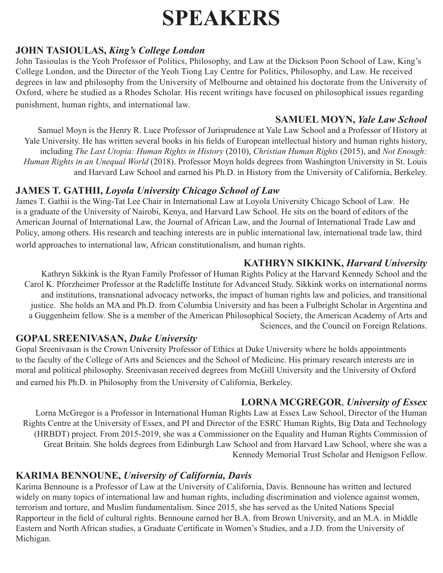### **SPEAKERS**

#### **JOHN TASIOULAS,** *King's College London*

John Tasioulas is the Yeoh Professor of Politics, Philosophy, and Law at the Dickson Poon School of Law, King's College London, and the Director of the Yeoh Tiong Lay Centre for Politics, Philosophy, and Law. He received degrees in law and philosophy from the University of Melbourne and obtained his doctorate from the University of Oxford, where he studied as a Rhodes Scholar. His recent writings have focused on philosophical issues regarding punishment, human rights, and international law.

#### **SAMUEL MOYN,** *Yale Law School*

Samuel Moyn is the Henry R. Luce Professor of Jurisprudence at Yale Law School and a Professor of History at Yale University. He has written several books in his fields of European intellectual history and human rights history, including *The Last Utopia: Human Rights in History* (2010), *Christian Human Rights* (2015), and *Not Enough: Human Rights in an Unequal World* (2018). Professor Moyn holds degrees from Washington University in St. Louis and Harvard Law School and earned his Ph.D. in History from the University of California, Berkeley.

#### **JAMES T. GATHII,** *Loyola University Chicago School of Law*

James T. Gathii is the Wing-Tat Lee Chair in International Law at Loyola University Chicago School of Law. He is a graduate of the University of Nairobi, Kenya, and Harvard Law School. He sits on the board of editors of the American Journal of International Law, the Journal of African Law, and the Journal of International Trade Law and Policy, among others. His research and teaching interests are in public international law, international trade law, third world approaches to international law, African constitutionalism, and human rights.

#### **KATHRYN SIKKINK,** *Harvard University*

Kathryn Sikkink is the Ryan Family Professor of Human Rights Policy at the Harvard Kennedy School and the Carol K. Pforzheimer Professor at the Radcliffe Institute for Advanced Study. Sikkink works on international norms and institutions, transnational advocacy networks, the impact of human rights law and policies, and transitional justice. She holds an MA and Ph.D. from Columbia University and has been a Fulbright Scholar in Argentina and a Guggenheim fellow. She is a member of the American Philosophical Society, the American Academy of Arts and Sciences, and the Council on Foreign Relations.

#### **GOPAL SREENIVASAN,** *Duke University*

Gopal Sreenivasan is the Crown University Professor of Ethics at Duke University where he holds appointments to the faculty of the College of Arts and Sciences and the School of Medicine. His primary research interests are in moral and political philosophy. Sreenivasan received degrees from McGill University and the University of Oxford and earned his Ph.D. in Philosophy from the University of California, Berkeley.

#### **LORNA MCGREGOR**, *University of Essex*

Lorna McGregor is a Professor in International Human Rights Law at Essex Law School, Director of the Human Rights Centre at the University of Essex, and PI and Director of the ESRC Human Rights, Big Data and Technology (HRBDT) project. From 2015-2019, she was a Commissioner on the Equality and Human Rights Commission of Great Britain. She holds degrees from Edinburgh Law School and from Harvard Law School, where she was a Kennedy Memorial Trust Scholar and Henigson Fellow.

#### **KARIMA BENNOUNE,** *University of California, Davis*

Karima Bennoune is a Professor of Law at the University of California, Davis. Bennoune has written and lectured widely on many topics of international law and human rights, including discrimination and violence against women, terrorism and torture, and Muslim fundamentalism. Since 2015, she has served as the United Nations Special Rapporteur in the field of cultural rights. Bennoune earned her B.A. from Brown University, and an M.A. in Middle Eastern and North African studies, a Graduate Certificate in Women's Studies, and a J.D. from the University of Michigan.